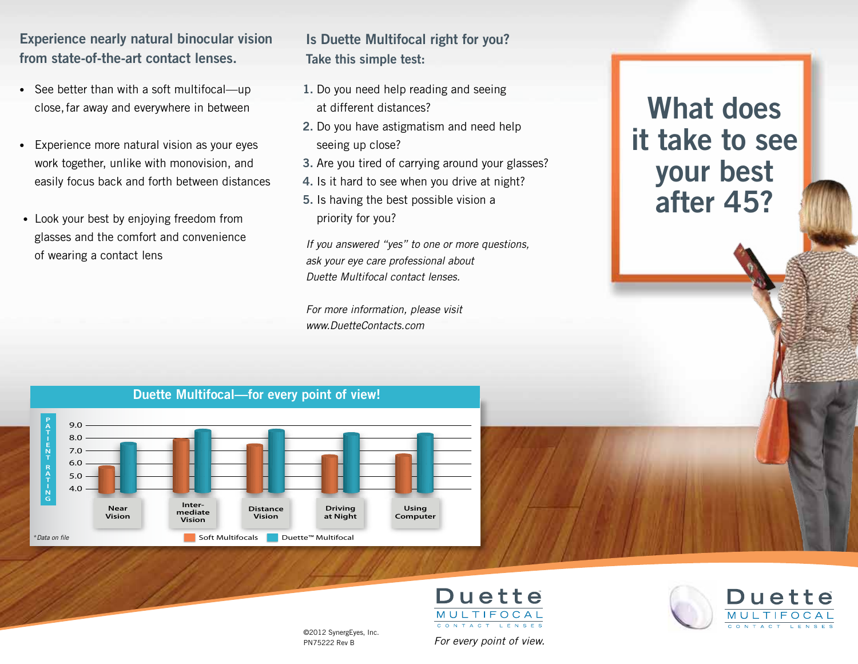**Experience nearly natural binocular vision from state-of-the-art contact lenses.**

- See better than with a soft multifocal—up close, far away and everywhere in between
- Experience more natural vision as your eyes work together, unlike with monovision, and easily focus back and forth between distances
- Look your best by enjoying freedom from glasses and the comfort and convenience of wearing a contact lens

## **Is Duette Multifocal right for you? Take this simple test:**

- **1.** Do you need help reading and seeing at different distances?
- **2.** Do you have astigmatism and need help seeing up close?
- **3.** Are you tired of carrying around your glasses?
- **4.** Is it hard to see when you drive at night?
- **5.** Is having the best possible vision a priority for you?

*If you answered "yes" to one or more questions, ask your eye care professional about Duette Multifocal contact lenses.*

*For more information, please visit www.DuetteContacts.com*

## **What does it take to see your best after 45?**







©2012 SynergEyes, Inc. PN75222 Rev B

*For every point of view.*